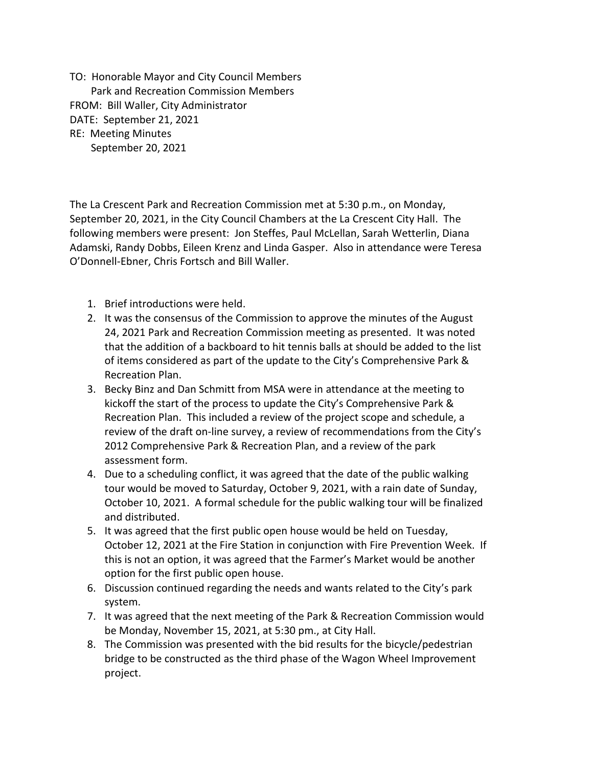TO: Honorable Mayor and City Council Members Park and Recreation Commission Members FROM: Bill Waller, City Administrator DATE: September 21, 2021 RE: Meeting Minutes September 20, 2021

The La Crescent Park and Recreation Commission met at 5:30 p.m., on Monday, September 20, 2021, in the City Council Chambers at the La Crescent City Hall. The following members were present: Jon Steffes, Paul McLellan, Sarah Wetterlin, Diana Adamski, Randy Dobbs, Eileen Krenz and Linda Gasper. Also in attendance were Teresa O'Donnell-Ebner, Chris Fortsch and Bill Waller.

- 1. Brief introductions were held.
- 2. It was the consensus of the Commission to approve the minutes of the August 24, 2021 Park and Recreation Commission meeting as presented. It was noted that the addition of a backboard to hit tennis balls at should be added to the list of items considered as part of the update to the City's Comprehensive Park & Recreation Plan.
- 3. Becky Binz and Dan Schmitt from MSA were in attendance at the meeting to kickoff the start of the process to update the City's Comprehensive Park & Recreation Plan. This included a review of the project scope and schedule, a review of the draft on-line survey, a review of recommendations from the City's 2012 Comprehensive Park & Recreation Plan, and a review of the park assessment form.
- 4. Due to a scheduling conflict, it was agreed that the date of the public walking tour would be moved to Saturday, October 9, 2021, with a rain date of Sunday, October 10, 2021. A formal schedule for the public walking tour will be finalized and distributed.
- 5. It was agreed that the first public open house would be held on Tuesday, October 12, 2021 at the Fire Station in conjunction with Fire Prevention Week. If this is not an option, it was agreed that the Farmer's Market would be another option for the first public open house.
- 6. Discussion continued regarding the needs and wants related to the City's park system.
- 7. It was agreed that the next meeting of the Park & Recreation Commission would be Monday, November 15, 2021, at 5:30 pm., at City Hall.
- 8. The Commission was presented with the bid results for the bicycle/pedestrian bridge to be constructed as the third phase of the Wagon Wheel Improvement project.